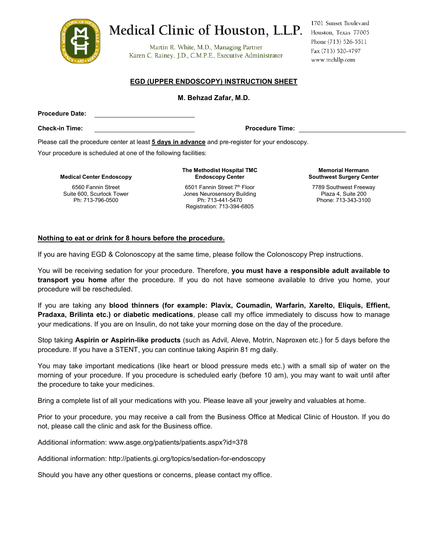

# Medical Clinic of Houston, L.L.P. Houston, Texas 77005

Martin R. White, M.D., Managing Partner Karen C. Rainey, J.D., C.M.P.E., Executive Administrator 1701 Sunset Boulevard Phone (713) 526-5511 Fax (713) 520-4797 www.mchllp.com

#### **EGD (UPPER ENDOSCOPY) INSTRUCTION SHEET**

#### **M. Behzad Zafar, M.D.**

**Procedure Date:**

**Check-in Time: Procedure Time:**

Please call the procedure center at least **5 days in advance** and pre-register for your endoscopy.

Your procedure is scheduled at one of the following facilities:

**Medical Center Endoscopy**

6560 Fannin Street Suite 600, Scurlock Tower Ph: 713-796-0500

**The Methodist Hospital TMC Endoscopy Center**

6501 Fannin Street 7<sup>th</sup> Floor Jones Neurosensory Building Ph: 713-441-5470 Registration: 713-394-6805

**Memorial Hermann Southwest Surgery Center**

7789 Southwest Freeway Plaza 4, Suite 200 Phone: 713-343-3100

#### **Nothing to eat or drink for 8 hours before the procedure.**

If you are having EGD & Colonoscopy at the same time, please follow the Colonoscopy Prep instructions.

You will be receiving sedation for your procedure. Therefore, **you must have a responsible adult available to transport you home** after the procedure. If you do not have someone available to drive you home, your procedure will be rescheduled.

If you are taking any **blood thinners (for example: Plavix, Coumadin, Warfarin, Xarelto, Eliquis, Effient, Pradaxa, Brilinta etc.) or diabetic medications**, please call my office immediately to discuss how to manage your medications. If you are on Insulin, do not take your morning dose on the day of the procedure.

Stop taking **Aspirin or Aspirin-like products** (such as Advil, Aleve, Motrin, Naproxen etc.) for 5 days before the procedure. If you have a STENT, you can continue taking Aspirin 81 mg daily.

You may take important medications (like heart or blood pressure meds etc.) with a small sip of water on the morning of your procedure. If you procedure is scheduled early (before 10 am), you may want to wait until after the procedure to take your medicines.

Bring a complete list of all your medications with you. Please leave all your jewelry and valuables at home.

Prior to your procedure, you may receive a call from the Business Office at Medical Clinic of Houston. If you do not, please call the clinic and ask for the Business office.

Additional information: www.asge.org/patients/patients.aspx?id=378

Additional information: http://patients.gi.org/topics/sedation-for-endoscopy

Should you have any other questions or concerns, please contact my office.